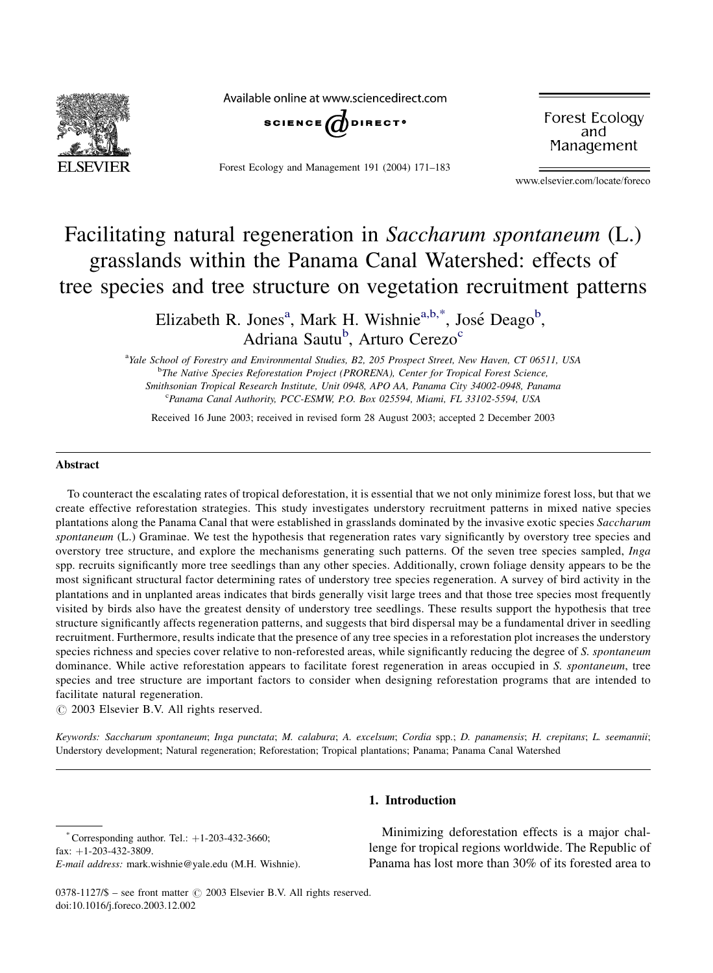

Available online at www.sciencedirect.com



Forest Ecology and Management 191 (2004) 171–183

Forest Ecology and Management

www.elsevier.com/locate/foreco

# Facilitating natural regeneration in Saccharum spontaneum (L.) grasslands within the Panama Canal Watershed: effects of tree species and tree structure on vegetation recruitment patterns

Elizabeth R. Jones<sup>a</sup>, Mark H. Wishnie<sup>a,b,\*</sup>, José Deago<sup>b</sup>, Adriana Sautu<sup>b</sup>, Arturo Cerezo<sup>c</sup>

<sup>a</sup>Yale School of Forestry and Environmental Studies, B2, 205 Prospect Street, New Haven, CT 06511, USA <sup>b</sup>The Native Species Reforestation Project (PRORENA), Center for Tropical Forest Science, Smithsonian Tropical Research Institute, Unit 0948, APO AA, Panama City 34002-0948, Panama <sup>c</sup>Panama Canal Authority, PCC-ESMW, P.O. Box 025594, Miami, FL 33102-5594, USA

Received 16 June 2003; received in revised form 28 August 2003; accepted 2 December 2003

#### Abstract

To counteract the escalating rates of tropical deforestation, it is essential that we not only minimize forest loss, but that we create effective reforestation strategies. This study investigates understory recruitment patterns in mixed native species plantations along the Panama Canal that were established in grasslands dominated by the invasive exotic species Saccharum spontaneum (L.) Graminae. We test the hypothesis that regeneration rates vary significantly by overstory tree species and overstory tree structure, and explore the mechanisms generating such patterns. Of the seven tree species sampled, Inga spp. recruits significantly more tree seedlings than any other species. Additionally, crown foliage density appears to be the most significant structural factor determining rates of understory tree species regeneration. A survey of bird activity in the plantations and in unplanted areas indicates that birds generally visit large trees and that those tree species most frequently visited by birds also have the greatest density of understory tree seedlings. These results support the hypothesis that tree structure significantly affects regeneration patterns, and suggests that bird dispersal may be a fundamental driver in seedling recruitment. Furthermore, results indicate that the presence of any tree species in a reforestation plot increases the understory species richness and species cover relative to non-reforested areas, while significantly reducing the degree of S. spontaneum dominance. While active reforestation appears to facilitate forest regeneration in areas occupied in S. spontaneum, tree species and tree structure are important factors to consider when designing reforestation programs that are intended to facilitate natural regeneration.

 $\odot$  2003 Elsevier B.V. All rights reserved.

Keywords: Saccharum spontaneum; Inga punctata; M. calabura; A. excelsum; Cordia spp.; D. panamensis; H. crepitans; L. seemannii; Understory development; Natural regeneration; Reforestation; Tropical plantations; Panama; Panama Canal Watershed

Corresponding author. Tel.:  $+1-203-432-3660$ ; fax:  $+1-203-432-3809$ .

# 1. Introduction

Minimizing deforestation effects is a major challenge for tropical regions worldwide. The Republic of Panama has lost more than 30% of its forested area to

E-mail address: mark.wishnie@yale.edu (M.H. Wishnie).

<sup>0378-1127/\$ –</sup> see front matter  $\odot$  2003 Elsevier B.V. All rights reserved. doi:10.1016/j.foreco.2003.12.002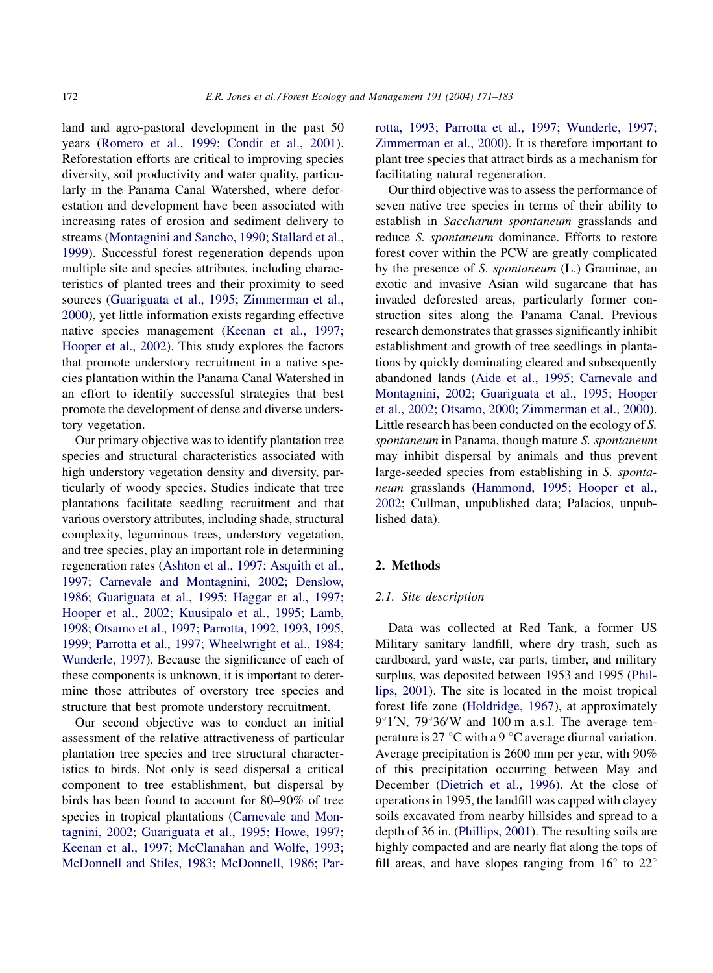land and agro-pastoral development in the past 50 years [\(Romero et al., 1999; Condit et al., 2001\)](#page-12-0). Reforestation efforts are critical to improving species diversity, soil productivity and water quality, particularly in the Panama Canal Watershed, where deforestation and development have been associated with increasing rates of erosion and sediment delivery to streams [\(Montagnini and Sancho, 1990;](#page-12-0) [Stallard et al.,](#page-12-0) [1999](#page-12-0)). Successful forest regeneration depends upon multiple site and species attributes, including characteristics of planted trees and their proximity to seed sources [\(Guariguata et al., 1995; Zimmerman et al.,](#page-11-0) [2000](#page-11-0)), yet little information exists regarding effective native species management ([Keenan et al., 1997;](#page-12-0) [Hooper et al., 2002](#page-12-0)). This study explores the factors that promote understory recruitment in a native species plantation within the Panama Canal Watershed in an effort to identify successful strategies that best promote the development of dense and diverse understory vegetation.

Our primary objective was to identify plantation tree species and structural characteristics associated with high understory vegetation density and diversity, particularly of woody species. Studies indicate that tree plantations facilitate seedling recruitment and that various overstory attributes, including shade, structural complexity, leguminous trees, understory vegetation, and tree species, play an important role in determining regeneration rates [\(Ashton et al., 1997; Asquith et al.,](#page-11-0) [1997; Carnevale and Montagnini, 2002; Denslow,](#page-11-0) [1986; Guariguata et al., 1995; Haggar et al., 1997;](#page-11-0) [Hooper et al., 2002; Kuusipalo et al., 1995; Lamb,](#page-11-0) [1998; Otsamo et al., 1997; Parrotta, 1992, 1993, 1995,](#page-11-0) [1999; Parrotta et al., 1997; Wheelwright et al., 1984;](#page-11-0) [Wunderle, 1997](#page-11-0)). Because the significance of each of these components is unknown, it is important to determine those attributes of overstory tree species and structure that best promote understory recruitment.

Our second objective was to conduct an initial assessment of the relative attractiveness of particular plantation tree species and tree structural characteristics to birds. Not only is seed dispersal a critical component to tree establishment, but dispersal by birds has been found to account for 80–90% of tree species in tropical plantations ([Carnevale and Mon](#page-11-0)[tagnini, 2002; Guariguata et al., 1995; Howe, 1997;](#page-11-0) [Keenan et al., 1997; McClanahan and Wolfe, 1993;](#page-11-0) [McDonnell and Stiles, 1983; McDonnell, 1986; Par-](#page-11-0) [rotta, 1993; Parrotta et al., 1997; Wunderle, 1997;](#page-11-0) [Zimmerman et al., 2000\)](#page-11-0). It is therefore important to plant tree species that attract birds as a mechanism for facilitating natural regeneration.

Our third objective was to assess the performance of seven native tree species in terms of their ability to establish in Saccharum spontaneum grasslands and reduce S. spontaneum dominance. Efforts to restore forest cover within the PCW are greatly complicated by the presence of S. spontaneum (L.) Graminae, an exotic and invasive Asian wild sugarcane that has invaded deforested areas, particularly former construction sites along the Panama Canal. Previous research demonstrates that grasses significantly inhibit establishment and growth of tree seedlings in plantations by quickly dominating cleared and subsequently abandoned lands [\(Aide et al., 1995; Carnevale and](#page-11-0) [Montagnini, 2002; Guariguata et al., 1995; Hooper](#page-11-0) [et al., 2002; Otsamo, 2000; Zimmerman et al., 2000\)](#page-11-0). Little research has been conducted on the ecology of S. spontaneum in Panama, though mature S. spontaneum may inhibit dispersal by animals and thus prevent large-seeded species from establishing in S. spontaneum grasslands ([Hammond, 1995; Hooper et al.,](#page-11-0) [2002](#page-11-0); Cullman, unpublished data; Palacios, unpublished data).

## 2. Methods

## 2.1. Site description

Data was collected at Red Tank, a former US Military sanitary landfill, where dry trash, such as cardboard, yard waste, car parts, timber, and military surplus, was deposited between 1953 and 1995 [\(Phil](#page-12-0)[lips, 2001](#page-12-0)). The site is located in the moist tropical forest life zone [\(Holdridge, 1967](#page-11-0)), at approximately  $9^{\circ}1'$ N, 79 $^{\circ}36'$ W and 100 m a.s.l. The average temperature is 27  $\mathrm{C}$  with a 9  $\mathrm{C}$  average diurnal variation. Average precipitation is 2600 mm per year, with 90% of this precipitation occurring between May and December [\(Dietrich et al., 1996](#page-11-0)). At the close of operations in 1995, the landfill was capped with clayey soils excavated from nearby hillsides and spread to a depth of 36 in. [\(Phillips, 2001](#page-12-0)). The resulting soils are highly compacted and are nearly flat along the tops of fill areas, and have slopes ranging from  $16^{\circ}$  to  $22^{\circ}$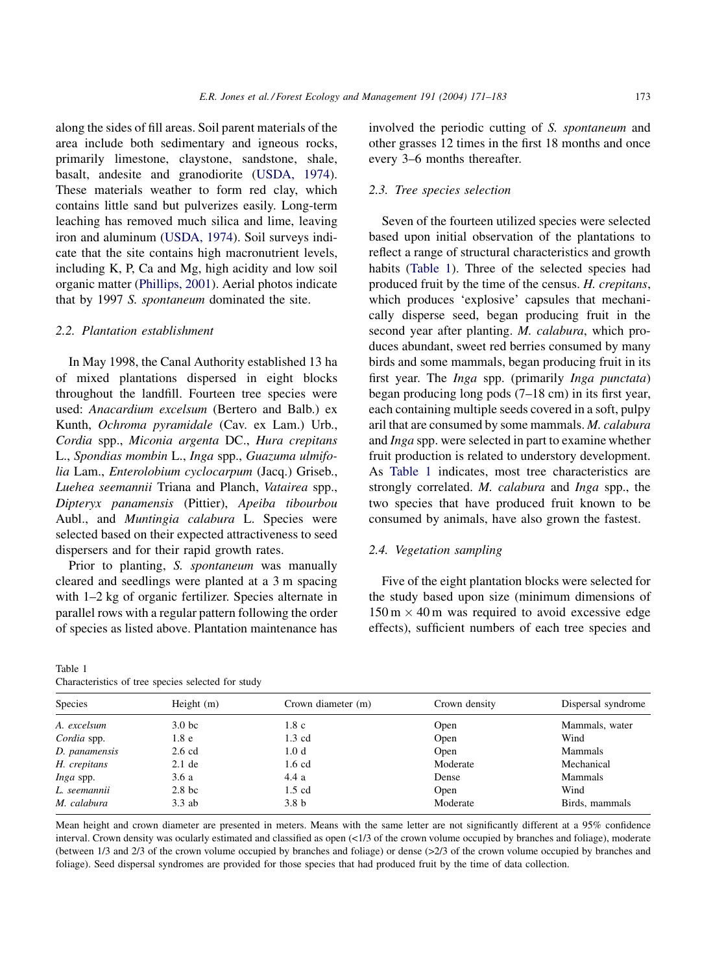<span id="page-2-0"></span>along the sides of fill areas. Soil parent materials of the area include both sedimentary and igneous rocks, primarily limestone, claystone, sandstone, shale, basalt, andesite and granodiorite ([USDA, 1974\)](#page-12-0). These materials weather to form red clay, which contains little sand but pulverizes easily. Long-term leaching has removed much silica and lime, leaving iron and aluminum ([USDA, 1974\)](#page-12-0). Soil surveys indicate that the site contains high macronutrient levels, including K, P, Ca and Mg, high acidity and low soil organic matter [\(Phillips, 2001](#page-12-0)). Aerial photos indicate that by 1997 S. spontaneum dominated the site.

#### 2.2. Plantation establishment

In May 1998, the Canal Authority established 13 ha of mixed plantations dispersed in eight blocks throughout the landfill. Fourteen tree species were used: Anacardium excelsum (Bertero and Balb.) ex Kunth, Ochroma pyramidale (Cav. ex Lam.) Urb., Cordia spp., Miconia argenta DC., Hura crepitans L., Spondias mombin L., Inga spp., Guazuma ulmifolia Lam., Enterolobium cyclocarpum (Jacq.) Griseb., Luehea seemannii Triana and Planch, Vatairea spp., Dipteryx panamensis (Pittier), Apeiba tibourbou Aubl., and Muntingia calabura L. Species were selected based on their expected attractiveness to seed dispersers and for their rapid growth rates.

Prior to planting, S. spontaneum was manually cleared and seedlings were planted at a 3 m spacing with  $1-2$  kg of organic fertilizer. Species alternate in parallel rows with a regular pattern following the order of species as listed above. Plantation maintenance has

Table 1 Characteristics of tree species selected for study involved the periodic cutting of S. spontaneum and other grasses 12 times in the first 18 months and once every 3–6 months thereafter.

#### 2.3. Tree species selection

Seven of the fourteen utilized species were selected based upon initial observation of the plantations to reflect a range of structural characteristics and growth habits (Table 1). Three of the selected species had produced fruit by the time of the census. H. crepitans, which produces 'explosive' capsules that mechanically disperse seed, began producing fruit in the second year after planting. M. calabura, which produces abundant, sweet red berries consumed by many birds and some mammals, began producing fruit in its first year. The Inga spp. (primarily Inga punctata) began producing long pods (7–18 cm) in its first year, each containing multiple seeds covered in a soft, pulpy aril that are consumed by some mammals. M. calabura and Inga spp. were selected in part to examine whether fruit production is related to understory development. As Table 1 indicates, most tree characteristics are strongly correlated. M. calabura and Inga spp., the two species that have produced fruit known to be consumed by animals, have also grown the fastest.

# 2.4. Vegetation sampling

Five of the eight plantation blocks were selected for the study based upon size (minimum dimensions of  $150 \text{ m} \times 40 \text{ m}$  was required to avoid excessive edge effects), sufficient numbers of each tree species and

| Species       | Height $(m)$      | Crown diameter (m) | Crown density | Dispersal syndrome |
|---------------|-------------------|--------------------|---------------|--------------------|
| A. excelsum   | 3.0 <sub>bc</sub> | 1.8 c              | Open          | Mammals, water     |
| Cordia spp.   | 1.8 e             | 1.3 cd             | Open          | Wind               |
| D. panamensis | $2.6 \text{ cd}$  | 1.0 <sub>d</sub>   | Open          | Mammals            |
| H. crepitans  | $2.1$ de          | $1.6 \text{ cd}$   | Moderate      | Mechanical         |
| Inga spp.     | 3.6 a             | 4.4a               | Dense         | Mammals            |
| L. seemannii  | 2.8 <sub>bc</sub> | $1.5 \text{ cd}$   | Open          | Wind               |
| M. calabura   | $3.3$ ab          | 3.8 <sub>b</sub>   | Moderate      | Birds, mammals     |

Mean height and crown diameter are presented in meters. Means with the same letter are not significantly different at a 95% confidence interval. Crown density was ocularly estimated and classified as open (<1/3 of the crown volume occupied by branches and foliage), moderate (between 1/3 and 2/3 of the crown volume occupied by branches and foliage) or dense (>2/3 of the crown volume occupied by branches and foliage). Seed dispersal syndromes are provided for those species that had produced fruit by the time of data collection.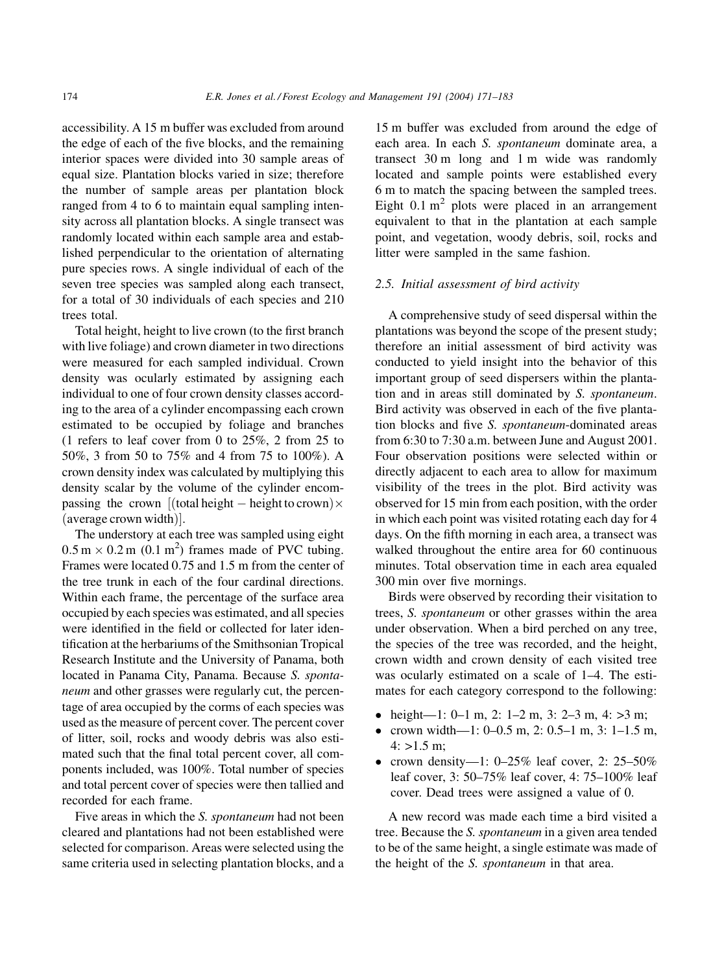accessibility. A 15 m buffer was excluded from around the edge of each of the five blocks, and the remaining interior spaces were divided into 30 sample areas of equal size. Plantation blocks varied in size; therefore the number of sample areas per plantation block ranged from 4 to 6 to maintain equal sampling intensity across all plantation blocks. A single transect was randomly located within each sample area and established perpendicular to the orientation of alternating pure species rows. A single individual of each of the seven tree species was sampled along each transect, for a total of 30 individuals of each species and 210 trees total.

Total height, height to live crown (to the first branch with live foliage) and crown diameter in two directions were measured for each sampled individual. Crown density was ocularly estimated by assigning each individual to one of four crown density classes according to the area of a cylinder encompassing each crown estimated to be occupied by foliage and branches (1 refers to leaf cover from 0 to 25%, 2 from 25 to 50%, 3 from 50 to 75% and 4 from 75 to 100%). A crown density index was calculated by multiplying this density scalar by the volume of the cylinder encompassing the crown  $[$ (total height – height to crown) $\times$  $(\text{average crown width})$ .

The understory at each tree was sampled using eight  $0.5 \text{ m} \times 0.2 \text{ m}$  (0.1 m<sup>2</sup>) frames made of PVC tubing. Frames were located 0.75 and 1.5 m from the center of the tree trunk in each of the four cardinal directions. Within each frame, the percentage of the surface area occupied by each species was estimated, and all species were identified in the field or collected for later identification at the herbariums of the Smithsonian Tropical Research Institute and the University of Panama, both located in Panama City, Panama. Because S. spontaneum and other grasses were regularly cut, the percentage of area occupied by the corms of each species was used as the measure of percent cover. The percent cover of litter, soil, rocks and woody debris was also estimated such that the final total percent cover, all components included, was 100%. Total number of species and total percent cover of species were then tallied and recorded for each frame.

Five areas in which the S. spontaneum had not been cleared and plantations had not been established were selected for comparison. Areas were selected using the same criteria used in selecting plantation blocks, and a 15 m buffer was excluded from around the edge of each area. In each S. spontaneum dominate area, a transect 30 m long and 1 m wide was randomly located and sample points were established every 6 m to match the spacing between the sampled trees. Eight  $0.1 \text{ m}^2$  plots were placed in an arrangement equivalent to that in the plantation at each sample point, and vegetation, woody debris, soil, rocks and litter were sampled in the same fashion.

## 2.5. Initial assessment of bird activity

A comprehensive study of seed dispersal within the plantations was beyond the scope of the present study; therefore an initial assessment of bird activity was conducted to yield insight into the behavior of this important group of seed dispersers within the plantation and in areas still dominated by S. spontaneum. Bird activity was observed in each of the five plantation blocks and five S. spontaneum-dominated areas from 6:30 to 7:30 a.m. between June and August 2001. Four observation positions were selected within or directly adjacent to each area to allow for maximum visibility of the trees in the plot. Bird activity was observed for 15 min from each position, with the order in which each point was visited rotating each day for 4 days. On the fifth morning in each area, a transect was walked throughout the entire area for 60 continuous minutes. Total observation time in each area equaled 300 min over five mornings.

Birds were observed by recording their visitation to trees, S. spontaneum or other grasses within the area under observation. When a bird perched on any tree, the species of the tree was recorded, and the height, crown width and crown density of each visited tree was ocularly estimated on a scale of 1–4. The estimates for each category correspond to the following:

- height—1: 0–1 m, 2: 1–2 m, 3: 2–3 m, 4: >3 m;
- crown width—1: 0–0.5 m, 2: 0.5–1 m, 3: 1–1.5 m,  $4: >1.5$  m:
- crown density—1: 0–25% leaf cover, 2: 25–50% leaf cover, 3: 50–75% leaf cover, 4: 75–100% leaf cover. Dead trees were assigned a value of 0.

A new record was made each time a bird visited a tree. Because the S. spontaneum in a given area tended to be of the same height, a single estimate was made of the height of the S. spontaneum in that area.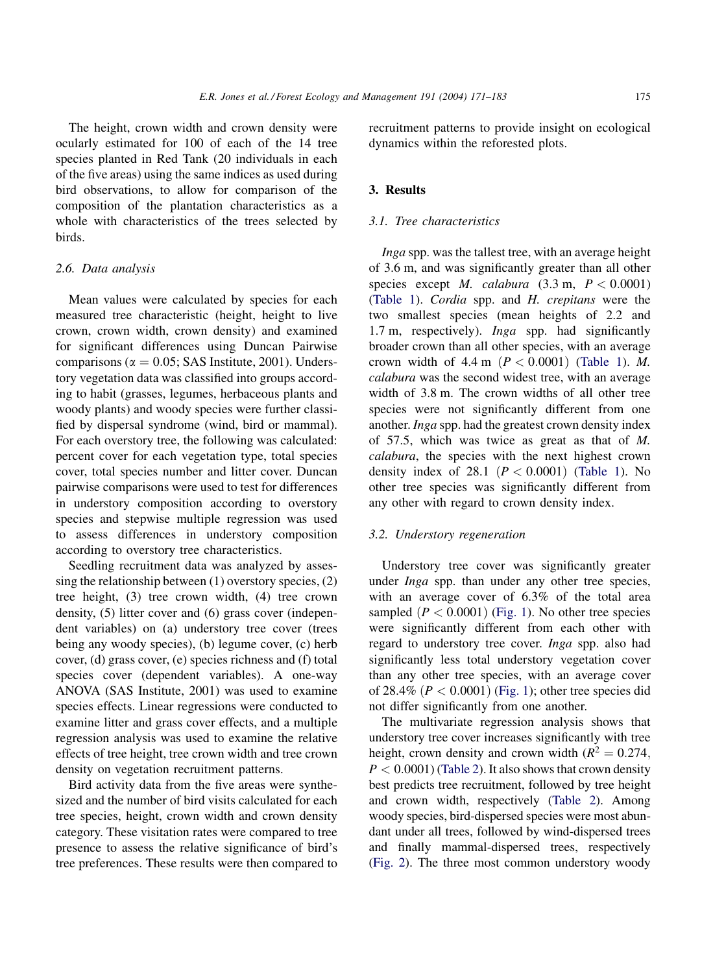The height, crown width and crown density were ocularly estimated for 100 of each of the 14 tree species planted in Red Tank (20 individuals in each of the five areas) using the same indices as used during bird observations, to allow for comparison of the composition of the plantation characteristics as a whole with characteristics of the trees selected by birds.

#### 2.6. Data analysis

Mean values were calculated by species for each measured tree characteristic (height, height to live crown, crown width, crown density) and examined for significant differences using Duncan Pairwise comparisons ( $\alpha = 0.05$ ; SAS Institute, 2001). Understory vegetation data was classified into groups according to habit (grasses, legumes, herbaceous plants and woody plants) and woody species were further classified by dispersal syndrome (wind, bird or mammal). For each overstory tree, the following was calculated: percent cover for each vegetation type, total species cover, total species number and litter cover. Duncan pairwise comparisons were used to test for differences in understory composition according to overstory species and stepwise multiple regression was used to assess differences in understory composition according to overstory tree characteristics.

Seedling recruitment data was analyzed by assessing the relationship between (1) overstory species, (2) tree height, (3) tree crown width, (4) tree crown density, (5) litter cover and (6) grass cover (independent variables) on (a) understory tree cover (trees being any woody species), (b) legume cover, (c) herb cover, (d) grass cover, (e) species richness and (f) total species cover (dependent variables). A one-way ANOVA (SAS Institute, 2001) was used to examine species effects. Linear regressions were conducted to examine litter and grass cover effects, and a multiple regression analysis was used to examine the relative effects of tree height, tree crown width and tree crown density on vegetation recruitment patterns.

Bird activity data from the five areas were synthesized and the number of bird visits calculated for each tree species, height, crown width and crown density category. These visitation rates were compared to tree presence to assess the relative significance of bird's tree preferences. These results were then compared to

recruitment patterns to provide insight on ecological dynamics within the reforested plots.

## 3. Results

#### 3.1. Tree characteristics

Inga spp. was the tallest tree, with an average height of 3.6 m, and was significantly greater than all other species except M. calabura  $(3.3 \text{ m}, P < 0.0001)$ ([Table 1](#page-2-0)). Cordia spp. and H. crepitans were the two smallest species (mean heights of 2.2 and 1.7 m, respectively). Inga spp. had significantly broader crown than all other species, with an average crown width of 4.4 m  $(P < 0.0001)$  [\(Table 1](#page-2-0)). M. calabura was the second widest tree, with an average width of 3.8 m. The crown widths of all other tree species were not significantly different from one another. Inga spp. had the greatest crown density index of 57.5, which was twice as great as that of M. calabura, the species with the next highest crown density index of 28.1  $(P < 0.0001)$  ([Table 1\)](#page-2-0). No other tree species was significantly different from any other with regard to crown density index.

#### 3.2. Understory regeneration

Understory tree cover was significantly greater under *Inga* spp. than under any other tree species, with an average cover of 6.3% of the total area sampled  $(P < 0.0001)$  ([Fig. 1\)](#page-5-0). No other tree species were significantly different from each other with regard to understory tree cover. Inga spp. also had significantly less total understory vegetation cover than any other tree species, with an average cover of 28.4%  $(P < 0.0001)$  ([Fig. 1\)](#page-5-0); other tree species did not differ significantly from one another.

The multivariate regression analysis shows that understory tree cover increases significantly with tree height, crown density and crown width ( $R<sup>2</sup> = 0.274$ ,  $P < 0.0001$ ) ([Table 2\)](#page-5-0). It also shows that crown density best predicts tree recruitment, followed by tree height and crown width, respectively ([Table 2\)](#page-5-0). Among woody species, bird-dispersed species were most abundant under all trees, followed by wind-dispersed trees and finally mammal-dispersed trees, respectively ([Fig. 2](#page-5-0)). The three most common understory woody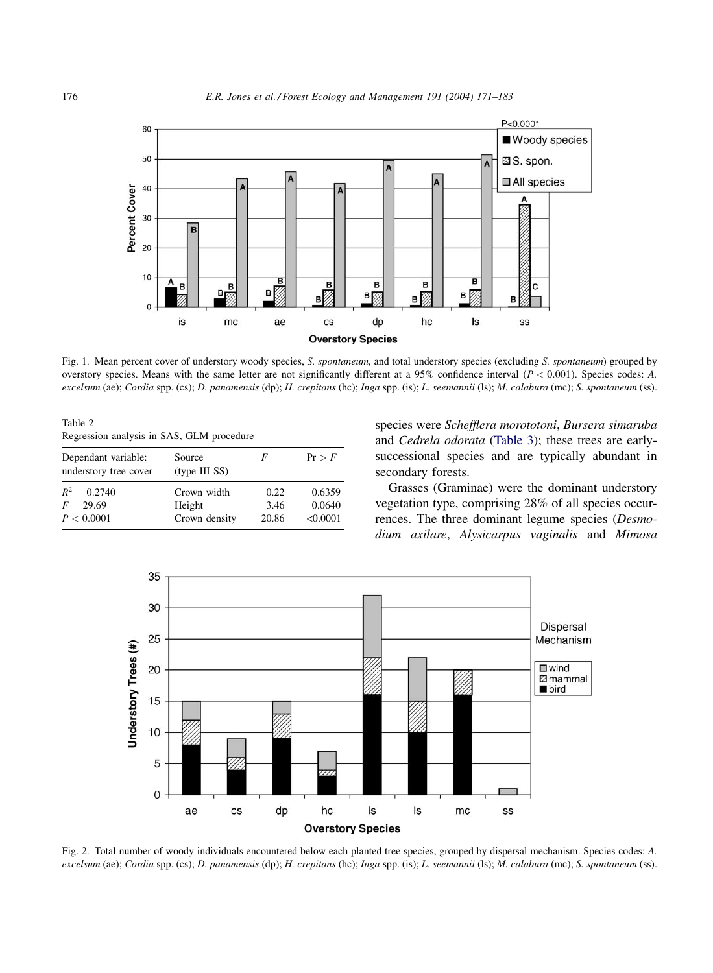<span id="page-5-0"></span>

Fig. 1. Mean percent cover of understory woody species, S. spontaneum, and total understory species (excluding S. spontaneum) grouped by overstory species. Means with the same letter are not significantly different at a 95% confidence interval  $(P < 0.001)$ . Species codes: A. excelsum (ae); Cordia spp. (cs); D. panamensis (dp); H. crepitans (hc); Inga spp. (is); L. seemannii (ls); M. calabura (mc); S. spontaneum (ss).

Table 2 Regression analysis in SAS, GLM procedure

| Dependant variable:<br>understory tree cover | Source<br>(type III SS) | F     | Pr > F   |
|----------------------------------------------|-------------------------|-------|----------|
| $R^2 = 0.2740$                               | Crown width             | 0.22  | 0.6359   |
| $F = 29.69$                                  | Height                  | 3.46  | 0.0640   |
| P < 0.0001                                   | Crown density           | 20.86 | < 0.0001 |

species were Schefflera morototoni, Bursera simaruba and Cedrela odorata [\(Table 3\)](#page-6-0); these trees are earlysuccessional species and are typically abundant in secondary forests.

Grasses (Graminae) were the dominant understory vegetation type, comprising 28% of all species occurrences. The three dominant legume species (Desmodium axilare, Alysicarpus vaginalis and Mimosa



Fig. 2. Total number of woody individuals encountered below each planted tree species, grouped by dispersal mechanism. Species codes: A. excelsum (ae); Cordia spp. (cs); D. panamensis (dp); H. crepitans (hc); Inga spp. (is); L. seemannii (ls); M. calabura (mc); S. spontaneum (ss).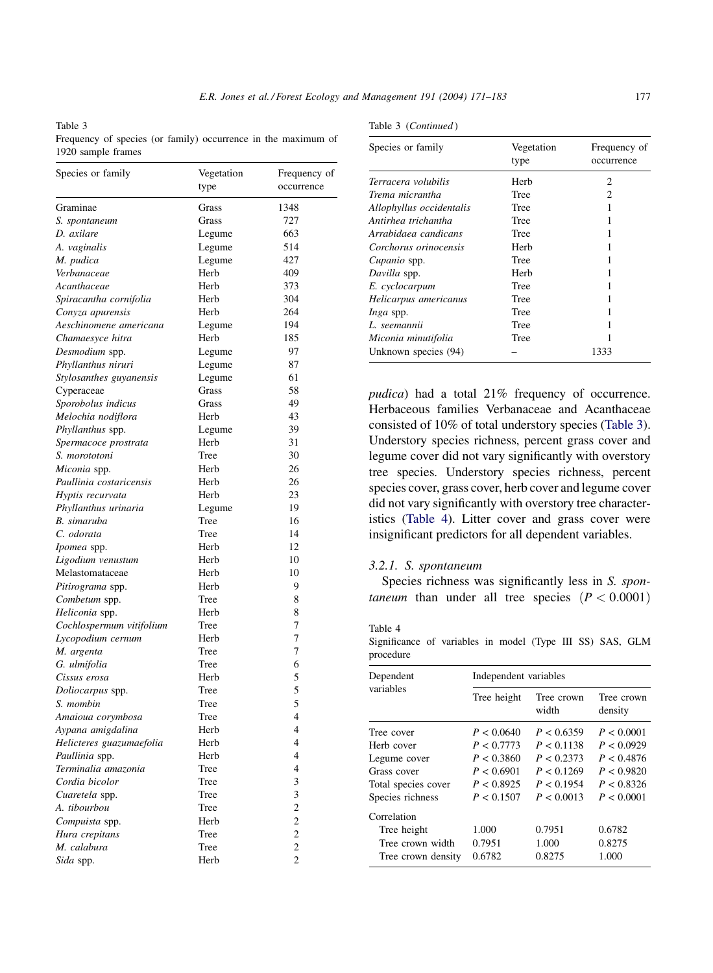<span id="page-6-0"></span>Table 3 Frequency of species (or family) occurrence in the maximum of 1920 sample frames

| Species or family        | Vegetation | Frequency of   |
|--------------------------|------------|----------------|
|                          | type       | occurrence     |
|                          |            |                |
| Graminae                 | Grass      | 1348           |
| S. spontaneum            | Grass      | 727            |
| D. axilare               | Legume     | 663            |
| A. vaginalis             | Legume     | 514            |
| M. pudica                | Legume     | 427            |
| Verbanaceae              | Herb       | 409            |
| Acanthaceae              | Herb       | 373            |
| Spiracantha cornifolia   | Herb       | 304            |
| Conyza apurensis         | Herb       | 264            |
| Aeschinomene americana   | Legume     | 194            |
| Chamaesyce hitra         | Herb       | 185            |
| Desmodium spp.           | Legume     | 97             |
| Phyllanthus niruri       | Legume     | 87             |
| Stylosanthes guyanensis  | Legume     | 61             |
| Cyperaceae               | Grass      | 58             |
| Sporobolus indicus       | Grass      | 49             |
| Melochia nodiflora       | Herb       | 43             |
| Phyllanthus spp.         | Legume     | 39             |
| Spermacoce prostrata     | Herb       | 31             |
| S. morototoni            | Tree       | 30             |
| Miconia spp.             | Herb       | 26             |
| Paullinia costaricensis  | Herb       | 26             |
| Hyptis recurvata         | Herb       | 23             |
| Phyllanthus urinaria     | Legume     | 19             |
| B. simaruba              | Tree       | 16             |
| C. odorata               | Tree       | 14             |
| Ipomea spp.              | Herb       | 12             |
| Ligodium venustum        | Herb       | 10             |
| Melastomataceae          | Herb       | 10             |
| Pitirograma spp.         | Herb       | 9              |
| Combetum spp.            | Tree       | 8              |
| Heliconia spp.           | Herb       | 8              |
| Cochlospermum vitifolium | Tree       | 7              |
| Lycopodium cernum        | Herb       | 7              |
| M. argenta               | Tree       | 7              |
| G. ulmifolia             | Tree       | 6              |
| Cissus erosa             | Herb       | 5              |
| Doliocarpus spp.         | Tree       | 5              |
| S. mombin                | Tree       | 5              |
| Amaioua corymbosa        | Tree       | $\overline{4}$ |
| Aypana amigdalina        | Herb       | $\overline{4}$ |
| Helicteres guazumaefolia | Herb       | 4              |
| Paullinia spp.           | Herb       | 4              |
| Terminalia amazonia      | Tree       | $\overline{4}$ |
| Cordia bicolor           | Tree       | 3              |
| Cuaretela spp.           | Tree       | 3              |
| A. tibourbou             | Tree       | $\overline{c}$ |
| Compuista spp.           | Herb       | $\overline{2}$ |
| Hura crepitans           | Tree       | $\overline{2}$ |
| M. calabura              | Tree       | $\overline{c}$ |
| Sida spp.                | Herb       | $\overline{2}$ |
|                          |            |                |

Table 3 (Continued )

| Species or family        | Vegetation<br>type | Frequency of<br>occurrence |
|--------------------------|--------------------|----------------------------|
| Terracera volubilis      | Herb               | 2                          |
| Trema micrantha          | Tree               | $\mathfrak{D}$             |
| Allophyllus occidentalis | Tree               |                            |
| Antirhea trichantha      | Tree               |                            |
| Arrabidaea candicans     | Tree               |                            |
| Corchorus orinocensis    | Herb               |                            |
| Cupanio spp.             | Tree               |                            |
| Davilla spp.             | Herb               |                            |
| E. cyclocarpum           | Tree               |                            |
| Helicarpus americanus    | Tree               |                            |
| <i>lnga</i> spp.         | Tree               |                            |
| L. seemannii             | Tree               |                            |
| Miconia minutifolia      | Tree               |                            |
| Unknown species (94)     |                    | 1333                       |

pudica) had a total 21% frequency of occurrence. Herbaceous families Verbanaceae and Acanthaceae consisted of 10% of total understory species (Table 3). Understory species richness, percent grass cover and legume cover did not vary significantly with overstory tree species. Understory species richness, percent species cover, grass cover, herb cover and legume cover did not vary significantly with overstory tree characteristics (Table 4). Litter cover and grass cover were insignificant predictors for all dependent variables.

#### 3.2.1. S. spontaneum

Species richness was significantly less in S. spontaneum than under all tree species  $(P < 0.0001)$ 

Table 4 Significance of variables in model (Type III SS) SAS, GLM procedure

| Dependent                                                                      | Independent variables                                              |                                                                    |                                                                    |  |
|--------------------------------------------------------------------------------|--------------------------------------------------------------------|--------------------------------------------------------------------|--------------------------------------------------------------------|--|
| variables                                                                      | Tree height                                                        | Tree crown<br>width                                                | Tree crown<br>density                                              |  |
| Tree cover<br>Herb cover<br>Legume cover<br>Grass cover<br>Total species cover | P < 0.0640<br>P < 0.7773<br>P < 0.3860<br>P < 0.6901<br>P < 0.8925 | P < 0.6359<br>P < 0.1138<br>P < 0.2373<br>P < 0.1269<br>P < 0.1954 | P < 0.0001<br>P < 0.0929<br>P < 0.4876<br>P < 0.9820<br>P < 0.8326 |  |
| Species richness<br>Correlation                                                | P < 0.1507                                                         | P < 0.0013                                                         | P < 0.0001                                                         |  |
| Tree height<br>Tree crown width<br>Tree crown density                          | 1.000<br>0.7951<br>0.6782                                          | 0.7951<br>1.000<br>0.8275                                          | 0.6782<br>0.8275<br>1.000                                          |  |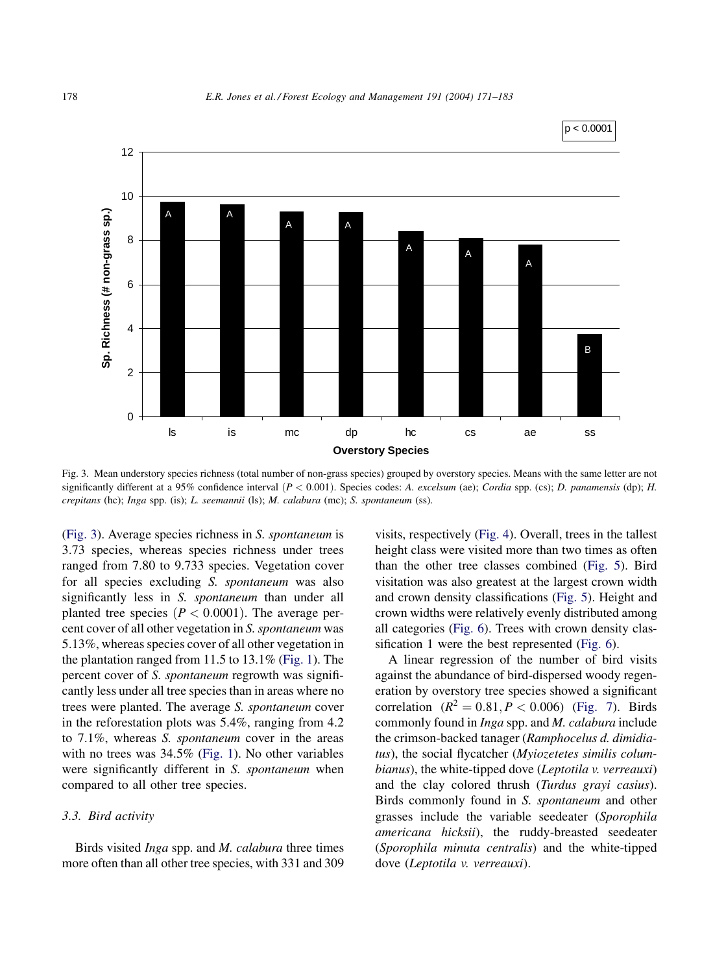

Fig. 3. Mean understory species richness (total number of non-grass species) grouped by overstory species. Means with the same letter are not significantly different at a 95% confidence interval  $(P < 0.001)$ . Species codes: A. excelsum (ae); Cordia spp. (cs); D. panamensis (dp); H. crepitans (hc); Inga spp. (is); L. seemannii (ls); M. calabura (mc); S. spontaneum (ss).

(Fig. 3). Average species richness in S. spontaneum is 3.73 species, whereas species richness under trees ranged from 7.80 to 9.733 species. Vegetation cover for all species excluding S. spontaneum was also significantly less in S. spontaneum than under all planted tree species  $(P < 0.0001)$ . The average percent cover of all other vegetation in S. spontaneum was 5.13%, whereas species cover of all other vegetation in the plantation ranged from 11.5 to 13.1% [\(Fig. 1](#page-5-0)). The percent cover of S. spontaneum regrowth was significantly less under all tree species than in areas where no trees were planted. The average S. spontaneum cover in the reforestation plots was 5.4%, ranging from 4.2 to 7.1%, whereas S. spontaneum cover in the areas with no trees was 34.5% ([Fig. 1\)](#page-5-0). No other variables were significantly different in S. spontaneum when compared to all other tree species.

## 3.3. Bird activity

Birds visited *Inga* spp. and *M. calabura* three times more often than all other tree species, with 331 and 309 visits, respectively ([Fig. 4\)](#page-8-0). Overall, trees in the tallest height class were visited more than two times as often than the other tree classes combined ([Fig. 5\)](#page-8-0). Bird visitation was also greatest at the largest crown width and crown density classifications ([Fig. 5\)](#page-8-0). Height and crown widths were relatively evenly distributed among all categories ([Fig. 6\)](#page-9-0). Trees with crown density classification 1 were the best represented ([Fig. 6](#page-9-0)).

A linear regression of the number of bird visits against the abundance of bird-dispersed woody regeneration by overstory tree species showed a significant correlation  $(R^2 = 0.81, P < 0.006)$  [\(Fig. 7\)](#page-9-0). Birds commonly found in Inga spp. and M. calabura include the crimson-backed tanager (Ramphocelus d. dimidiatus), the social flycatcher (Myiozetetes similis columbianus), the white-tipped dove (Leptotila v. verreauxi) and the clay colored thrush (Turdus grayi casius). Birds commonly found in S. spontaneum and other grasses include the variable seedeater (Sporophila americana hicksii), the ruddy-breasted seedeater (Sporophila minuta centralis) and the white-tipped dove (Leptotila v. verreauxi).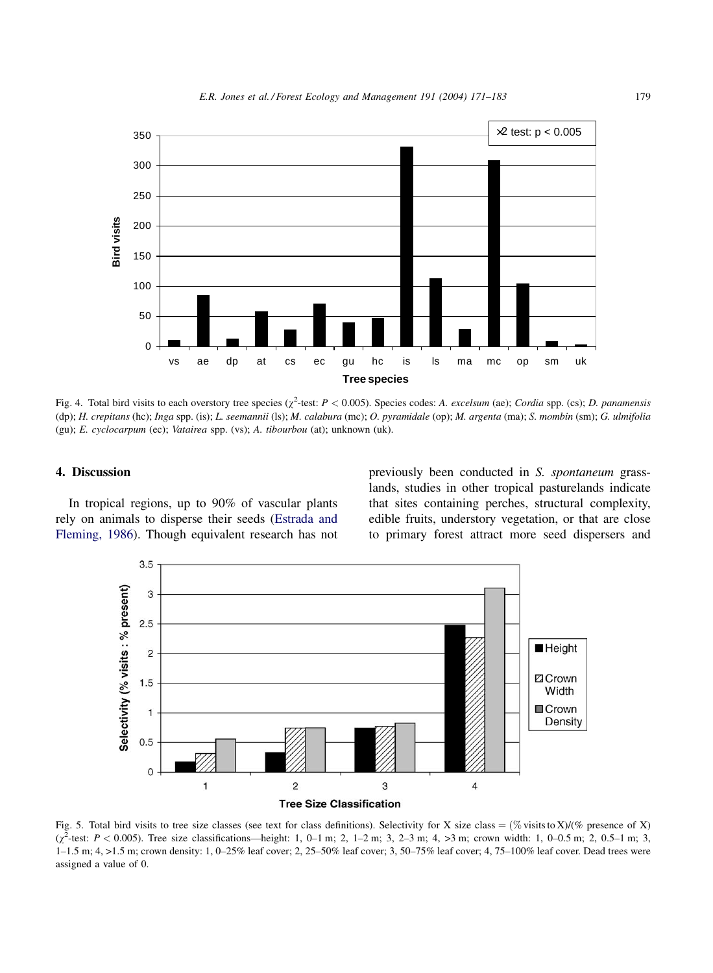<span id="page-8-0"></span>

Fig. 4. Total bird visits to each overstory tree species ( $\chi^2$ -test:  $P < 0.005$ ). Species codes: A. excelsum (ae); Cordia spp. (cs); D. panamensis (dp); H. crepitans (hc); Inga spp. (is); L. seemannii (ls); M. calabura (mc); O. pyramidale (op); M. argenta (ma); S. mombin (sm); G. ulmifolia (gu); E. cyclocarpum (ec); Vatairea spp. (vs); A. tibourbou (at); unknown (uk).

## 4. Discussion

In tropical regions, up to 90% of vascular plants rely on animals to disperse their seeds ([Estrada and](#page-11-0) [Fleming, 1986\)](#page-11-0). Though equivalent research has not

previously been conducted in S. spontaneum grasslands, studies in other tropical pasturelands indicate that sites containing perches, structural complexity, edible fruits, understory vegetation, or that are close to primary forest attract more seed dispersers and



Fig. 5. Total bird visits to tree size classes (see text for class definitions). Selectivity for X size class =  $(\%$  visits to X)/(% presence of X)  $(\chi^2$ -test:  $P < 0.005$ ). Tree size classifications—height: 1, 0–1 m; 2, 1–2 m; 3, 2–3 m; 4, >3 m; crown width: 1, 0–0.5 m; 2, 0.5–1 m; 3, 1–1.5 m; 4, >1.5 m; crown density: 1, 0–25% leaf cover; 2, 25–50% leaf cover; 3, 50–75% leaf cover; 4, 75–100% leaf cover. Dead trees were assigned a value of 0.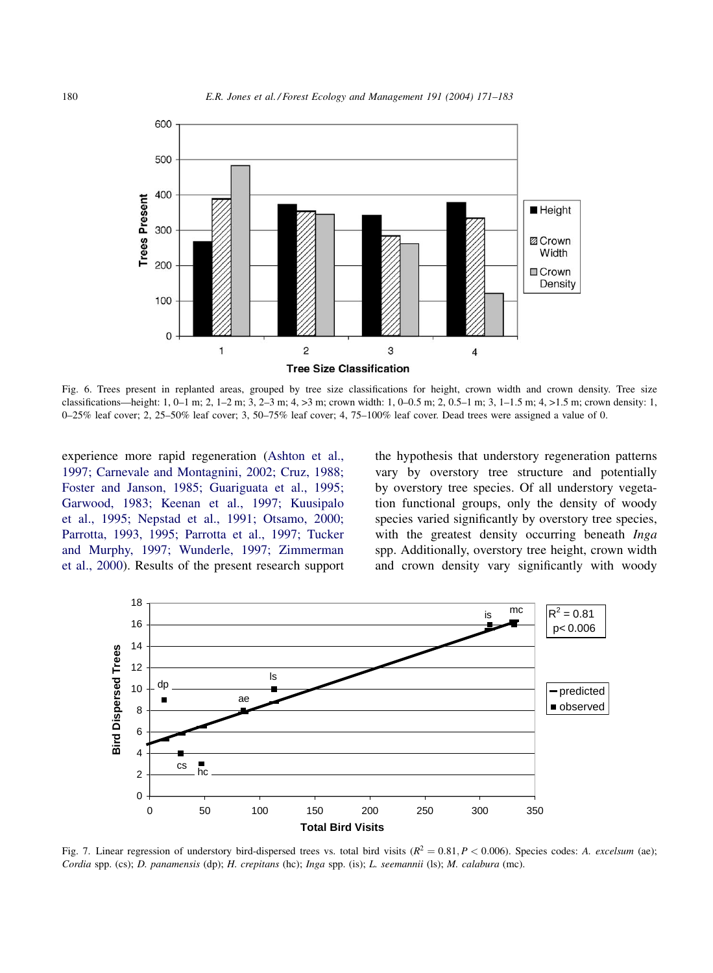<span id="page-9-0"></span>

Fig. 6. Trees present in replanted areas, grouped by tree size classifications for height, crown width and crown density. Tree size classifications—height: 1, 0–1 m; 2, 1–2 m; 3, 2–3 m; 4, >3 m; crown width: 1, 0–0.5 m; 2, 0.5–1 m; 3, 1–1.5 m; 4, >1.5 m; crown density: 1, 0–25% leaf cover; 2, 25–50% leaf cover; 3, 50–75% leaf cover; 4, 75–100% leaf cover. Dead trees were assigned a value of 0.

experience more rapid regeneration [\(Ashton et al.,](#page-11-0) [1997; Carnevale and Montagnini, 2002; Cruz, 1988;](#page-11-0) [Foster and Janson, 1985; Guariguata et al., 1995;](#page-11-0) [Garwood, 1983; Keenan et al., 1997; Kuusipalo](#page-11-0) [et al., 1995; Nepstad et al., 1991; Otsamo, 2000;](#page-11-0) [Parrotta, 1993, 1995; Parrotta et al., 1997; Tucker](#page-11-0) [and Murphy, 1997; Wunderle, 1997; Zimmerman](#page-11-0) [et al., 2000\)](#page-11-0). Results of the present research support the hypothesis that understory regeneration patterns vary by overstory tree structure and potentially by overstory tree species. Of all understory vegetation functional groups, only the density of woody species varied significantly by overstory tree species, with the greatest density occurring beneath *Inga* spp. Additionally, overstory tree height, crown width and crown density vary significantly with woody



Fig. 7. Linear regression of understory bird-dispersed trees vs. total bird visits  $(R^2 = 0.81, P < 0.006)$ . Species codes: A. excelsum (ae); Cordia spp. (cs); D. panamensis (dp); H. crepitans (hc); Inga spp. (is); L. seemannii (ls); M. calabura (mc).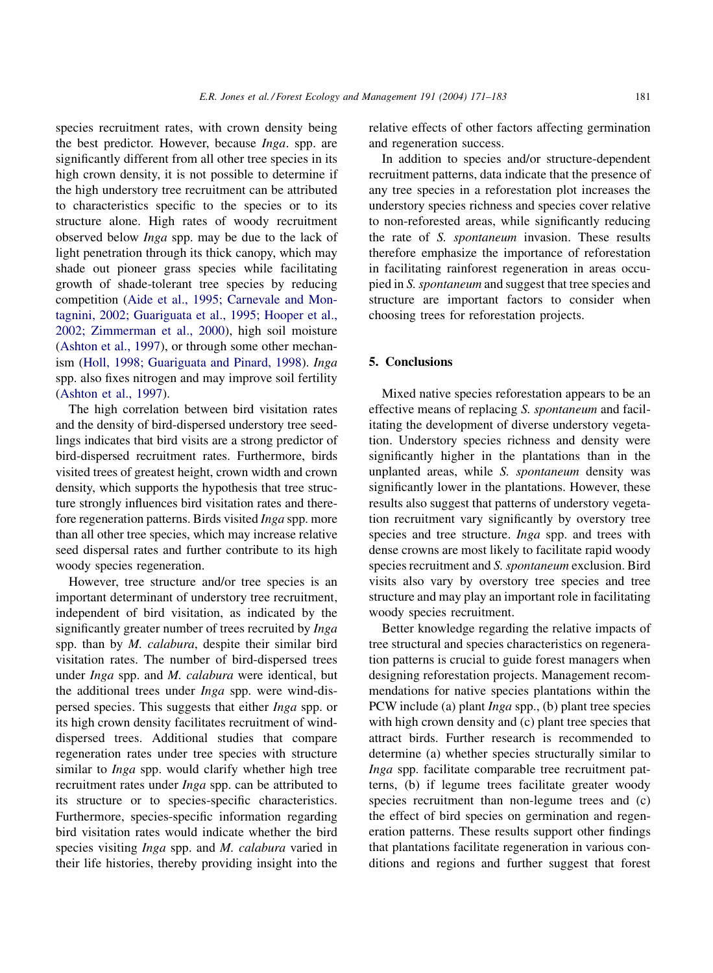species recruitment rates, with crown density being the best predictor. However, because Inga. spp. are significantly different from all other tree species in its high crown density, it is not possible to determine if the high understory tree recruitment can be attributed to characteristics specific to the species or to its structure alone. High rates of woody recruitment observed below Inga spp. may be due to the lack of light penetration through its thick canopy, which may shade out pioneer grass species while facilitating growth of shade-tolerant tree species by reducing competition [\(Aide et al., 1995; Carnevale and Mon](#page-11-0)[tagnini, 2002; Guariguata et al., 1995; Hooper et al.,](#page-11-0) [2002; Zimmerman et al., 2000\)](#page-11-0), high soil moisture ([Ashton et al., 1997](#page-11-0)), or through some other mechanism ([Holl, 1998; Guariguata and Pinard, 1998](#page-11-0)). Inga spp. also fixes nitrogen and may improve soil fertility ([Ashton et al., 1997](#page-11-0)).

The high correlation between bird visitation rates and the density of bird-dispersed understory tree seedlings indicates that bird visits are a strong predictor of bird-dispersed recruitment rates. Furthermore, birds visited trees of greatest height, crown width and crown density, which supports the hypothesis that tree structure strongly influences bird visitation rates and therefore regeneration patterns. Birds visited Inga spp. more than all other tree species, which may increase relative seed dispersal rates and further contribute to its high woody species regeneration.

However, tree structure and/or tree species is an important determinant of understory tree recruitment, independent of bird visitation, as indicated by the significantly greater number of trees recruited by *Inga* spp. than by M. calabura, despite their similar bird visitation rates. The number of bird-dispersed trees under Inga spp. and M. calabura were identical, but the additional trees under *Inga* spp. were wind-dispersed species. This suggests that either Inga spp. or its high crown density facilitates recruitment of winddispersed trees. Additional studies that compare regeneration rates under tree species with structure similar to *Inga* spp. would clarify whether high tree recruitment rates under Inga spp. can be attributed to its structure or to species-specific characteristics. Furthermore, species-specific information regarding bird visitation rates would indicate whether the bird species visiting *Inga* spp. and *M. calabura* varied in their life histories, thereby providing insight into the

relative effects of other factors affecting germination and regeneration success.

In addition to species and/or structure-dependent recruitment patterns, data indicate that the presence of any tree species in a reforestation plot increases the understory species richness and species cover relative to non-reforested areas, while significantly reducing the rate of S. spontaneum invasion. These results therefore emphasize the importance of reforestation in facilitating rainforest regeneration in areas occupied in S. spontaneum and suggest that tree species and structure are important factors to consider when choosing trees for reforestation projects.

# 5. Conclusions

Mixed native species reforestation appears to be an effective means of replacing S. spontaneum and facilitating the development of diverse understory vegetation. Understory species richness and density were significantly higher in the plantations than in the unplanted areas, while S. spontaneum density was significantly lower in the plantations. However, these results also suggest that patterns of understory vegetation recruitment vary significantly by overstory tree species and tree structure. *Inga* spp. and trees with dense crowns are most likely to facilitate rapid woody species recruitment and S. spontaneum exclusion. Bird visits also vary by overstory tree species and tree structure and may play an important role in facilitating woody species recruitment.

Better knowledge regarding the relative impacts of tree structural and species characteristics on regeneration patterns is crucial to guide forest managers when designing reforestation projects. Management recommendations for native species plantations within the PCW include (a) plant Inga spp., (b) plant tree species with high crown density and (c) plant tree species that attract birds. Further research is recommended to determine (a) whether species structurally similar to Inga spp. facilitate comparable tree recruitment patterns, (b) if legume trees facilitate greater woody species recruitment than non-legume trees and (c) the effect of bird species on germination and regeneration patterns. These results support other findings that plantations facilitate regeneration in various conditions and regions and further suggest that forest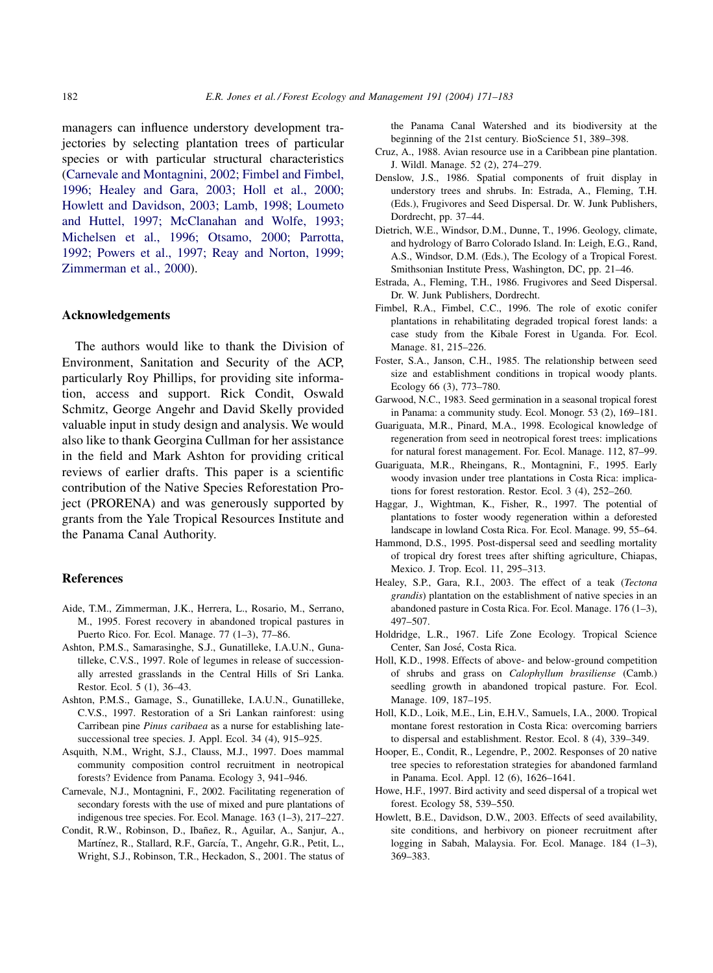<span id="page-11-0"></span>managers can influence understory development trajectories by selecting plantation trees of particular species or with particular structural characteristics (Carnevale and Montagnini, 2002; Fimbel and Fimbel, 1996; Healey and Gara, 2003; Holl et al., 2000; Howlett and Davidson, 2003; Lamb, 1998; Loumeto and Huttel, 1997; McClanahan and Wolfe, 1993; Michelsen et al., 1996; Otsamo, 2000; Parrotta, 1992; Powers et al., 1997; Reay and Norton, 1999; Zimmerman et al., 2000).

#### Acknowledgements

The authors would like to thank the Division of Environment, Sanitation and Security of the ACP, particularly Roy Phillips, for providing site information, access and support. Rick Condit, Oswald Schmitz, George Angehr and David Skelly provided valuable input in study design and analysis. We would also like to thank Georgina Cullman for her assistance in the field and Mark Ashton for providing critical reviews of earlier drafts. This paper is a scientific contribution of the Native Species Reforestation Project (PRORENA) and was generously supported by grants from the Yale Tropical Resources Institute and the Panama Canal Authority.

#### References

- Aide, T.M., Zimmerman, J.K., Herrera, L., Rosario, M., Serrano, M., 1995. Forest recovery in abandoned tropical pastures in Puerto Rico. For. Ecol. Manage. 77 (1–3), 77–86.
- Ashton, P.M.S., Samarasinghe, S.J., Gunatilleke, I.A.U.N., Gunatilleke, C.V.S., 1997. Role of legumes in release of successionally arrested grasslands in the Central Hills of Sri Lanka. Restor. Ecol. 5 (1), 36–43.
- Ashton, P.M.S., Gamage, S., Gunatilleke, I.A.U.N., Gunatilleke, C.V.S., 1997. Restoration of a Sri Lankan rainforest: using Carribean pine Pinus caribaea as a nurse for establishing latesuccessional tree species. J. Appl. Ecol. 34 (4), 915–925.
- Asquith, N.M., Wright, S.J., Clauss, M.J., 1997. Does mammal community composition control recruitment in neotropical forests? Evidence from Panama. Ecology 3, 941–946.
- Carnevale, N.J., Montagnini, F., 2002. Facilitating regeneration of secondary forests with the use of mixed and pure plantations of indigenous tree species. For. Ecol. Manage. 163 (1–3), 217–227.
- Condit, R.W., Robinson, D., Ibañez, R., Aguilar, A., Sanjur, A., Martínez, R., Stallard, R.F., García, T., Angehr, G.R., Petit, L., Wright, S.J., Robinson, T.R., Heckadon, S., 2001. The status of

the Panama Canal Watershed and its biodiversity at the beginning of the 21st century. BioScience 51, 389–398.

- Cruz, A., 1988. Avian resource use in a Caribbean pine plantation. J. Wildl. Manage. 52 (2), 274–279.
- Denslow, J.S., 1986. Spatial components of fruit display in understory trees and shrubs. In: Estrada, A., Fleming, T.H. (Eds.), Frugivores and Seed Dispersal. Dr. W. Junk Publishers, Dordrecht, pp. 37–44.
- Dietrich, W.E., Windsor, D.M., Dunne, T., 1996. Geology, climate, and hydrology of Barro Colorado Island. In: Leigh, E.G., Rand, A.S., Windsor, D.M. (Eds.), The Ecology of a Tropical Forest. Smithsonian Institute Press, Washington, DC, pp. 21–46.
- Estrada, A., Fleming, T.H., 1986. Frugivores and Seed Dispersal. Dr. W. Junk Publishers, Dordrecht.
- Fimbel, R.A., Fimbel, C.C., 1996. The role of exotic conifer plantations in rehabilitating degraded tropical forest lands: a case study from the Kibale Forest in Uganda. For. Ecol. Manage. 81, 215–226.
- Foster, S.A., Janson, C.H., 1985. The relationship between seed size and establishment conditions in tropical woody plants. Ecology 66 (3), 773–780.
- Garwood, N.C., 1983. Seed germination in a seasonal tropical forest in Panama: a community study. Ecol. Monogr. 53 (2), 169–181.
- Guariguata, M.R., Pinard, M.A., 1998. Ecological knowledge of regeneration from seed in neotropical forest trees: implications for natural forest management. For. Ecol. Manage. 112, 87–99.
- Guariguata, M.R., Rheingans, R., Montagnini, F., 1995. Early woody invasion under tree plantations in Costa Rica: implications for forest restoration. Restor. Ecol. 3 (4), 252–260.
- Haggar, J., Wightman, K., Fisher, R., 1997. The potential of plantations to foster woody regeneration within a deforested landscape in lowland Costa Rica. For. Ecol. Manage. 99, 55–64.
- Hammond, D.S., 1995. Post-dispersal seed and seedling mortality of tropical dry forest trees after shifting agriculture, Chiapas, Mexico. J. Trop. Ecol. 11, 295–313.
- Healey, S.P., Gara, R.I., 2003. The effect of a teak (Tectona grandis) plantation on the establishment of native species in an abandoned pasture in Costa Rica. For. Ecol. Manage. 176 (1–3), 497–507.
- Holdridge, L.R., 1967. Life Zone Ecology. Tropical Science Center, San José, Costa Rica.
- Holl, K.D., 1998. Effects of above- and below-ground competition of shrubs and grass on Calophyllum brasiliense (Camb.) seedling growth in abandoned tropical pasture. For. Ecol. Manage. 109, 187–195.
- Holl, K.D., Loik, M.E., Lin, E.H.V., Samuels, I.A., 2000. Tropical montane forest restoration in Costa Rica: overcoming barriers to dispersal and establishment. Restor. Ecol. 8 (4), 339–349.
- Hooper, E., Condit, R., Legendre, P., 2002. Responses of 20 native tree species to reforestation strategies for abandoned farmland in Panama. Ecol. Appl. 12 (6), 1626–1641.
- Howe, H.F., 1997. Bird activity and seed dispersal of a tropical wet forest. Ecology 58, 539–550.
- Howlett, B.E., Davidson, D.W., 2003. Effects of seed availability, site conditions, and herbivory on pioneer recruitment after logging in Sabah, Malaysia. For. Ecol. Manage. 184 (1–3), 369–383.